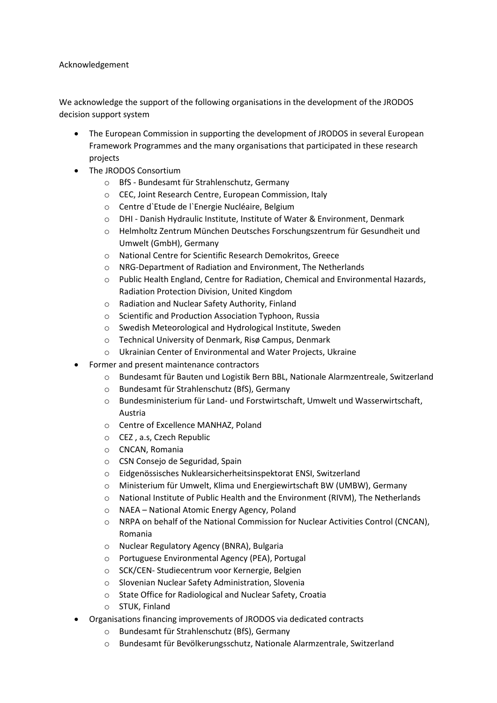## Acknowledgement

We acknowledge the support of the following organisations in the development of the JRODOS decision support system

- The European Commission in supporting the development of JRODOS in several European Framework Programmes and the many organisations that participated in these research projects
- The JRODOS Consortium
	- o BfS Bundesamt für Strahlenschutz, Germany
	- o CEC, Joint Research Centre, European Commission, Italy
	- o Centre d`Etude de l`Energie Nucléaire, Belgium
	- o DHI Danish Hydraulic Institute, Institute of Water & Environment, Denmark
	- o Helmholtz Zentrum München Deutsches Forschungszentrum für Gesundheit und Umwelt (GmbH), Germany
	- o National Centre for Scientific Research Demokritos, Greece
	- o NRG-Department of Radiation and Environment, The Netherlands
	- $\circ$  Public Health England, Centre for Radiation, Chemical and Environmental Hazards, Radiation Protection Division, United Kingdom
	- o Radiation and Nuclear Safety Authority, Finland
	- o Scientific and Production Association Typhoon, Russia
	- o Swedish Meteorological and Hydrological Institute, Sweden
	- o Technical University of Denmark, Risø Campus, Denmark
	- o Ukrainian Center of Environmental and Water Projects, Ukraine
- Former and present maintenance contractors
	- o Bundesamt für Bauten und Logistik Bern BBL, Nationale Alarmzentreale, Switzerland
	- o Bundesamt für Strahlenschutz (BfS), Germany
	- o Bundesministerium für Land- und Forstwirtschaft, Umwelt und Wasserwirtschaft, Austria
	- o Centre of Excellence MANHAZ, Poland
	- o CEZ , a.s, Czech Republic
	- o CNCAN, Romania
	- o CSN Consejo de Seguridad, Spain
	- o Eidgenössisches Nuklearsicherheitsinspektorat ENSI, Switzerland
	- o Ministerium für Umwelt, Klima und Energiewirtschaft BW (UMBW), Germany
	- $\circ$  National Institute of Public Health and the Environment (RIVM), The Netherlands
	- o NAEA National Atomic Energy Agency, Poland
	- o NRPA on behalf of the National Commission for Nuclear Activities Control (CNCAN), Romania
	- o Nuclear Regulatory Agency (BNRA), Bulgaria
	- o Portuguese Environmental Agency (PEA), Portugal
	- o SCK/CEN- Studiecentrum voor Kernergie, Belgien
	- o Slovenian Nuclear Safety Administration, Slovenia
	- o State Office for Radiological and Nuclear Safety, Croatia
	- o STUK, Finland
- Organisations financing improvements of JRODOS via dedicated contracts
	- o Bundesamt für Strahlenschutz (BfS), Germany
	- o Bundesamt für Bevölkerungsschutz, Nationale Alarmzentrale, Switzerland